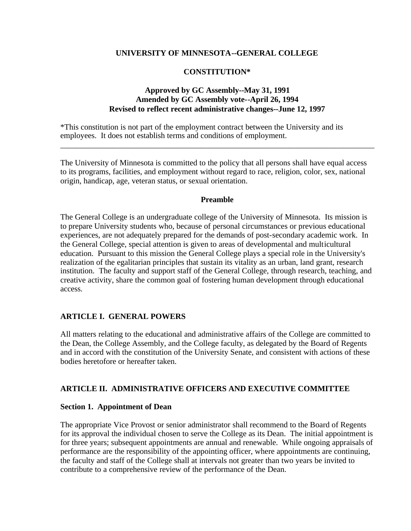#### **UNIVERSITY OF MINNESOTA--GENERAL COLLEGE**

#### **CONSTITUTION\***

#### **Approved by GC Assembly--May 31, 1991 Amended by GC Assembly vote--April 26, 1994 Revised to reflect recent administrative changes--June 12, 1997**

\*This constitution is not part of the employment contract between the University and its employees. It does not establish terms and conditions of employment.

The University of Minnesota is committed to the policy that all persons shall have equal access to its programs, facilities, and employment without regard to race, religion, color, sex, national origin, handicap, age, veteran status, or sexual orientation.

\_\_\_\_\_\_\_\_\_\_\_\_\_\_\_\_\_\_\_\_\_\_\_\_\_\_\_\_\_\_\_\_\_\_\_\_\_\_\_\_\_\_\_\_\_\_\_\_\_\_\_\_\_\_\_\_\_\_\_\_\_\_\_\_\_\_\_\_\_\_\_\_\_\_\_\_\_\_

#### **Preamble**

The General College is an undergraduate college of the University of Minnesota. Its mission is to prepare University students who, because of personal circumstances or previous educational experiences, are not adequately prepared for the demands of post-secondary academic work. In the General College, special attention is given to areas of developmental and multicultural education. Pursuant to this mission the General College plays a special role in the University's realization of the egalitarian principles that sustain its vitality as an urban, land grant, research institution. The faculty and support staff of the General College, through research, teaching, and creative activity, share the common goal of fostering human development through educational access.

#### **ARTICLE I. GENERAL POWERS**

All matters relating to the educational and administrative affairs of the College are committed to the Dean, the College Assembly, and the College faculty, as delegated by the Board of Regents and in accord with the constitution of the University Senate, and consistent with actions of these bodies heretofore or hereafter taken.

#### **ARTICLE II. ADMINISTRATIVE OFFICERS AND EXECUTIVE COMMITTEE**

#### **Section 1. Appointment of Dean**

The appropriate Vice Provost or senior administrator shall recommend to the Board of Regents for its approval the individual chosen to serve the College as its Dean. The initial appointment is for three years; subsequent appointments are annual and renewable. While ongoing appraisals of performance are the responsibility of the appointing officer, where appointments are continuing, the faculty and staff of the College shall at intervals not greater than two years be invited to contribute to a comprehensive review of the performance of the Dean.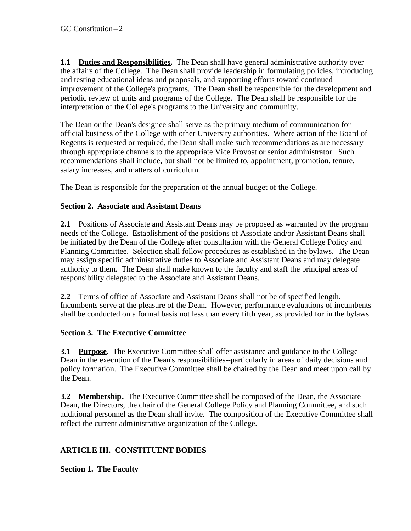**1.1 Duties and Responsibilities.** The Dean shall have general administrative authority over the affairs of the College. The Dean shall provide leadership in formulating policies, introducing and testing educational ideas and proposals, and supporting efforts toward continued improvement of the College's programs. The Dean shall be responsible for the development and periodic review of units and programs of the College. The Dean shall be responsible for the interpretation of the College's programs to the University and community.

The Dean or the Dean's designee shall serve as the primary medium of communication for official business of the College with other University authorities. Where action of the Board of Regents is requested or required, the Dean shall make such recommendations as are necessary through appropriate channels to the appropriate Vice Provost or senior administrator. Such recommendations shall include, but shall not be limited to, appointment, promotion, tenure, salary increases, and matters of curriculum.

The Dean is responsible for the preparation of the annual budget of the College.

## **Section 2. Associate and Assistant Deans**

**2.1** Positions of Associate and Assistant Deans may be proposed as warranted by the program needs of the College. Establishment of the positions of Associate and/or Assistant Deans shall be initiated by the Dean of the College after consultation with the General College Policy and Planning Committee. Selection shall follow procedures as established in the bylaws. The Dean may assign specific administrative duties to Associate and Assistant Deans and may delegate authority to them. The Dean shall make known to the faculty and staff the principal areas of responsibility delegated to the Associate and Assistant Deans.

**2.2** Terms of office of Associate and Assistant Deans shall not be of specified length. Incumbents serve at the pleasure of the Dean. However, performance evaluations of incumbents shall be conducted on a formal basis not less than every fifth year, as provided for in the bylaws.

## **Section 3. The Executive Committee**

**3.1 Purpose.** The Executive Committee shall offer assistance and guidance to the College Dean in the execution of the Dean's responsibilities--particularly in areas of daily decisions and policy formation. The Executive Committee shall be chaired by the Dean and meet upon call by the Dean.

**3.2 Membership.** The Executive Committee shall be composed of the Dean, the Associate Dean, the Directors, the chair of the General College Policy and Planning Committee, and such additional personnel as the Dean shall invite. The composition of the Executive Committee shall reflect the current administrative organization of the College.

## **ARTICLE III. CONSTITUENT BODIES**

**Section 1. The Faculty**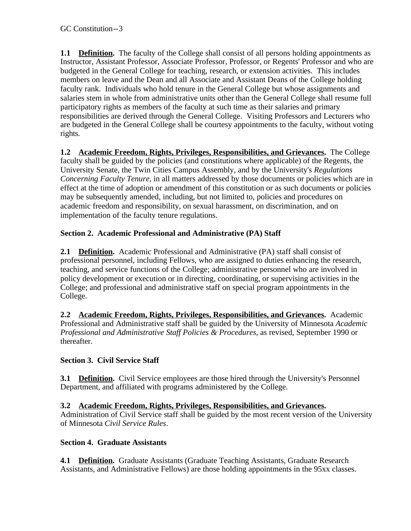**1.1 Definition.** The faculty of the College shall consist of all persons holding appointments as Instructor, Assistant Professor, Associate Professor, Professor, or Regents' Professor and who are budgeted in the General College for teaching, research, or extension activities. This includes members on leave and the Dean and all Associate and Assistant Deans of the College holding faculty rank. Individuals who hold tenure in the General College but whose assignments and salaries stem in whole from administrative units other than the General College shall resume full participatory rights as members of the faculty at such time as their salaries and primary responsibilities are derived through the General College. Visiting Professors and Lecturers who are budgeted in the General College shall be courtesy appointments to the faculty, without voting rights.

**1.2 Academic Freedom, Rights, Privileges, Responsibilities, and Grievances.** The College faculty shall be guided by the policies (and constitutions where applicable) of the Regents, the University Senate, the Twin Cities Campus Assembly, and by the University's *Regulations Concerning Faculty Tenure*, in all matters addressed by those documents or policies which are in effect at the time of adoption or amendment of this constitution or as such documents or policies may be subsequently amended, including, but not limited to, policies and procedures on academic freedom and responsibility, on sexual harassment, on discrimination, and on implementation of the faculty tenure regulations.

# **Section 2. Academic Professional and Administrative (PA) Staff**

**2.1 Definition.** Academic Professional and Administrative (PA) staff shall consist of professional personnel, including Fellows, who are assigned to duties enhancing the research, teaching, and service functions of the College; administrative personnel who are involved in policy development or execution or in directing, coordinating, or supervising activities in the College; and professional and administrative staff on special program appointments in the College.

**2.2 Academic Freedom, Rights, Privileges, Responsibilities, and Grievances.** Academic Professional and Administrative staff shall be guided by the University of Minnesota *Academic Professional and Administrative Staff Policies & Procedures*, as revised, September 1990 or thereafter.

## **Section 3. Civil Service Staff**

**3.1 Definition.** Civil Service employees are those hired through the University's Personnel Department, and affiliated with programs administered by the College.

# **3.2 Academic Freedom, Rights, Privileges, Responsibilities, and Grievances.**

Administration of Civil Service staff shall be guided by the most recent version of the University of Minnesota *Civil Service Rules*.

## **Section 4. Graduate Assistants**

**4.1 Definition.** Graduate Assistants (Graduate Teaching Assistants, Graduate Research Assistants, and Administrative Fellows) are those holding appointments in the 95xx classes.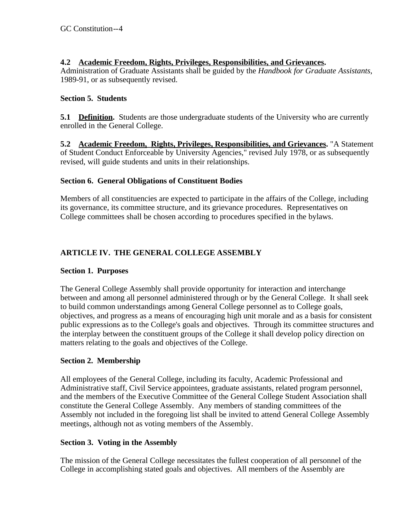## **4.2 Academic Freedom, Rights, Privileges, Responsibilities, and Grievances.**

Administration of Graduate Assistants shall be guided by the *Handbook for Graduate Assistants*, 1989-91, or as subsequently revised.

## **Section 5. Students**

**5.1 Definition.** Students are those undergraduate students of the University who are currently enrolled in the General College.

**5.2 Academic Freedom,\_Rights, Privileges, Responsibilities, and Grievances.** "A Statement of Student Conduct Enforceable by University Agencies," revised July 1978, or as subsequently revised, will guide students and units in their relationships.

## **Section 6. General Obligations of Constituent Bodies**

Members of all constituencies are expected to participate in the affairs of the College, including its governance, its committee structure, and its grievance procedures. Representatives on College committees shall be chosen according to procedures specified in the bylaws.

# **ARTICLE IV. THE GENERAL COLLEGE ASSEMBLY**

## **Section 1. Purposes**

The General College Assembly shall provide opportunity for interaction and interchange between and among all personnel administered through or by the General College. It shall seek to build common understandings among General College personnel as to College goals, objectives, and progress as a means of encouraging high unit morale and as a basis for consistent public expressions as to the College's goals and objectives. Through its committee structures and the interplay between the constituent groups of the College it shall develop policy direction on matters relating to the goals and objectives of the College.

## **Section 2. Membership**

All employees of the General College, including its faculty, Academic Professional and Administrative staff, Civil Service appointees, graduate assistants, related program personnel, and the members of the Executive Committee of the General College Student Association shall constitute the General College Assembly. Any members of standing committees of the Assembly not included in the foregoing list shall be invited to attend General College Assembly meetings, although not as voting members of the Assembly.

## **Section 3. Voting in the Assembly**

The mission of the General College necessitates the fullest cooperation of all personnel of the College in accomplishing stated goals and objectives. All members of the Assembly are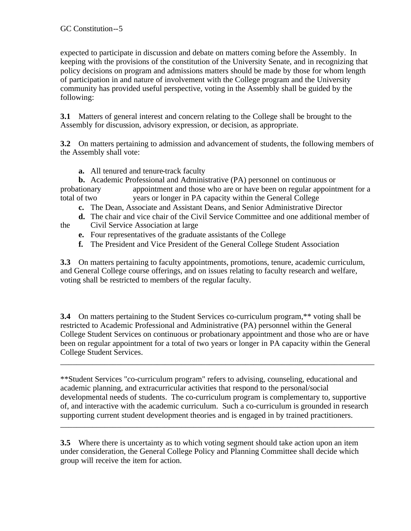expected to participate in discussion and debate on matters coming before the Assembly. In keeping with the provisions of the constitution of the University Senate, and in recognizing that policy decisions on program and admissions matters should be made by those for whom length of participation in and nature of involvement with the College program and the University community has provided useful perspective, voting in the Assembly shall be guided by the following:

**3.1** Matters of general interest and concern relating to the College shall be brought to the Assembly for discussion, advisory expression, or decision, as appropriate.

**3.2** On matters pertaining to admission and advancement of students, the following members of the Assembly shall vote:

**a.** All tenured and tenure-track faculty

**b.** Academic Professional and Administrative (PA) personnel on continuous or probationary appointment and those who are or have been on regular appointment for a total of two years or longer in PA capacity within the General College

- **c.** The Dean, Associate and Assistant Deans, and Senior Administrative Director
- 
- **d.** The chair and vice chair of the Civil Service Committee and one additional member of the Civil Service Association at large
	- **e.** Four representatives of the graduate assistants of the College
	- **f.** The President and Vice President of the General College Student Association

**3.3** On matters pertaining to faculty appointments, promotions, tenure, academic curriculum, and General College course offerings, and on issues relating to faculty research and welfare, voting shall be restricted to members of the regular faculty.

**3.4** On matters pertaining to the Student Services co-curriculum program,\*\* voting shall be restricted to Academic Professional and Administrative (PA) personnel within the General College Student Services on continuous or probationary appointment and those who are or have been on regular appointment for a total of two years or longer in PA capacity within the General College Student Services.

\_\_\_\_\_\_\_\_\_\_\_\_\_\_\_\_\_\_\_\_\_\_\_\_\_\_\_\_\_\_\_\_\_\_\_\_\_\_\_\_\_\_\_\_\_\_\_\_\_\_\_\_\_\_\_\_\_\_\_\_\_\_\_\_\_\_\_\_\_\_\_\_\_\_\_\_\_\_

\*\*Student Services "co-curriculum program" refers to advising, counseling, educational and academic planning, and extracurricular activities that respond to the personal/social developmental needs of students. The co-curriculum program is complementary to, supportive of, and interactive with the academic curriculum. Such a co-curriculum is grounded in research supporting current student development theories and is engaged in by trained practitioners.

\_\_\_\_\_\_\_\_\_\_\_\_\_\_\_\_\_\_\_\_\_\_\_\_\_\_\_\_\_\_\_\_\_\_\_\_\_\_\_\_\_\_\_\_\_\_\_\_\_\_\_\_\_\_\_\_\_\_\_\_\_\_\_\_\_\_\_\_\_\_\_\_\_\_\_\_\_\_

**3.5** Where there is uncertainty as to which voting segment should take action upon an item under consideration, the General College Policy and Planning Committee shall decide which group will receive the item for action.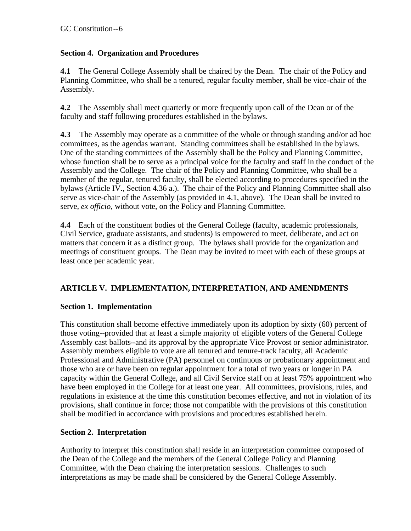## **Section 4. Organization and Procedures**

**4.1** The General College Assembly shall be chaired by the Dean. The chair of the Policy and Planning Committee, who shall be a tenured, regular faculty member, shall be vice-chair of the Assembly.

**4.2** The Assembly shall meet quarterly or more frequently upon call of the Dean or of the faculty and staff following procedures established in the bylaws.

**4.3** The Assembly may operate as a committee of the whole or through standing and/or ad hoc committees, as the agendas warrant. Standing committees shall be established in the bylaws. One of the standing committees of the Assembly shall be the Policy and Planning Committee, whose function shall be to serve as a principal voice for the faculty and staff in the conduct of the Assembly and the College. The chair of the Policy and Planning Committee, who shall be a member of the regular, tenured faculty, shall be elected according to procedures specified in the bylaws (Article IV., Section 4.36 a.). The chair of the Policy and Planning Committee shall also serve as vice-chair of the Assembly (as provided in 4.1, above). The Dean shall be invited to serve, *ex officio*, without vote, on the Policy and Planning Committee.

**4.4** Each of the constituent bodies of the General College (faculty, academic professionals, Civil Service, graduate assistants, and students) is empowered to meet, deliberate, and act on matters that concern it as a distinct group. The bylaws shall provide for the organization and meetings of constituent groups. The Dean may be invited to meet with each of these groups at least once per academic year.

# **ARTICLE V. IMPLEMENTATION, INTERPRETATION, AND AMENDMENTS**

## **Section 1. Implementation**

This constitution shall become effective immediately upon its adoption by sixty (60) percent of those voting--provided that at least a simple majority of eligible voters of the General College Assembly cast ballots--and its approval by the appropriate Vice Provost or senior administrator. Assembly members eligible to vote are all tenured and tenure-track faculty, all Academic Professional and Administrative (PA) personnel on continuous or probationary appointment and those who are or have been on regular appointment for a total of two years or longer in PA capacity within the General College, and all Civil Service staff on at least 75% appointment who have been employed in the College for at least one year. All committees, provisions, rules, and regulations in existence at the time this constitution becomes effective, and not in violation of its provisions, shall continue in force; those not compatible with the provisions of this constitution shall be modified in accordance with provisions and procedures established herein.

## **Section 2. Interpretation**

Authority to interpret this constitution shall reside in an interpretation committee composed of the Dean of the College and the members of the General College Policy and Planning Committee, with the Dean chairing the interpretation sessions. Challenges to such interpretations as may be made shall be considered by the General College Assembly.